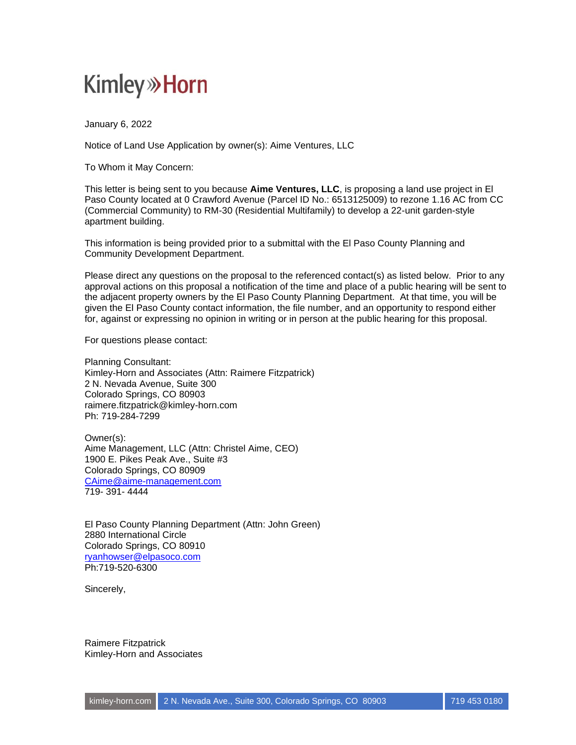## **Kimley» Horn**

January 6, 2022

Notice of Land Use Application by owner(s): Aime Ventures, LLC

To Whom it May Concern:

This letter is being sent to you because **Aime Ventures, LLC**, is proposing a land use project in El Paso County located at 0 Crawford Avenue (Parcel ID No.: 6513125009) to rezone 1.16 AC from CC (Commercial Community) to RM-30 (Residential Multifamily) to develop a 22-unit garden-style apartment building.

This information is being provided prior to a submittal with the El Paso County Planning and Community Development Department.

Please direct any questions on the proposal to the referenced contact(s) as listed below. Prior to any approval actions on this proposal a notification of the time and place of a public hearing will be sent to the adjacent property owners by the El Paso County Planning Department. At that time, you will be given the El Paso County contact information, the file number, and an opportunity to respond either for, against or expressing no opinion in writing or in person at the public hearing for this proposal.

For questions please contact:

Planning Consultant: Kimley-Horn and Associates (Attn: Raimere Fitzpatrick) 2 N. Nevada Avenue, Suite 300 Colorado Springs, CO 80903 raimere.fitzpatrick@kimley-horn.com Ph: 719-284-7299

Owner(s): Aime Management, LLC (Attn: Christel Aime, CEO) 1900 E. Pikes Peak Ave., Suite #3 Colorado Springs, CO 80909 [CAime@aime-management.com](mailto:CAime@aime-management.com) 719- 391- 4444

El Paso County Planning Department (Attn: John Green) 2880 International Circle Colorado Springs, CO 80910 [ryanhowser@elpasoco.com](mailto:ryanhowser@elpasoco.com) Ph:719-520-6300

Sincerely,

Raimere Fitzpatrick Kimley-Horn and Associates